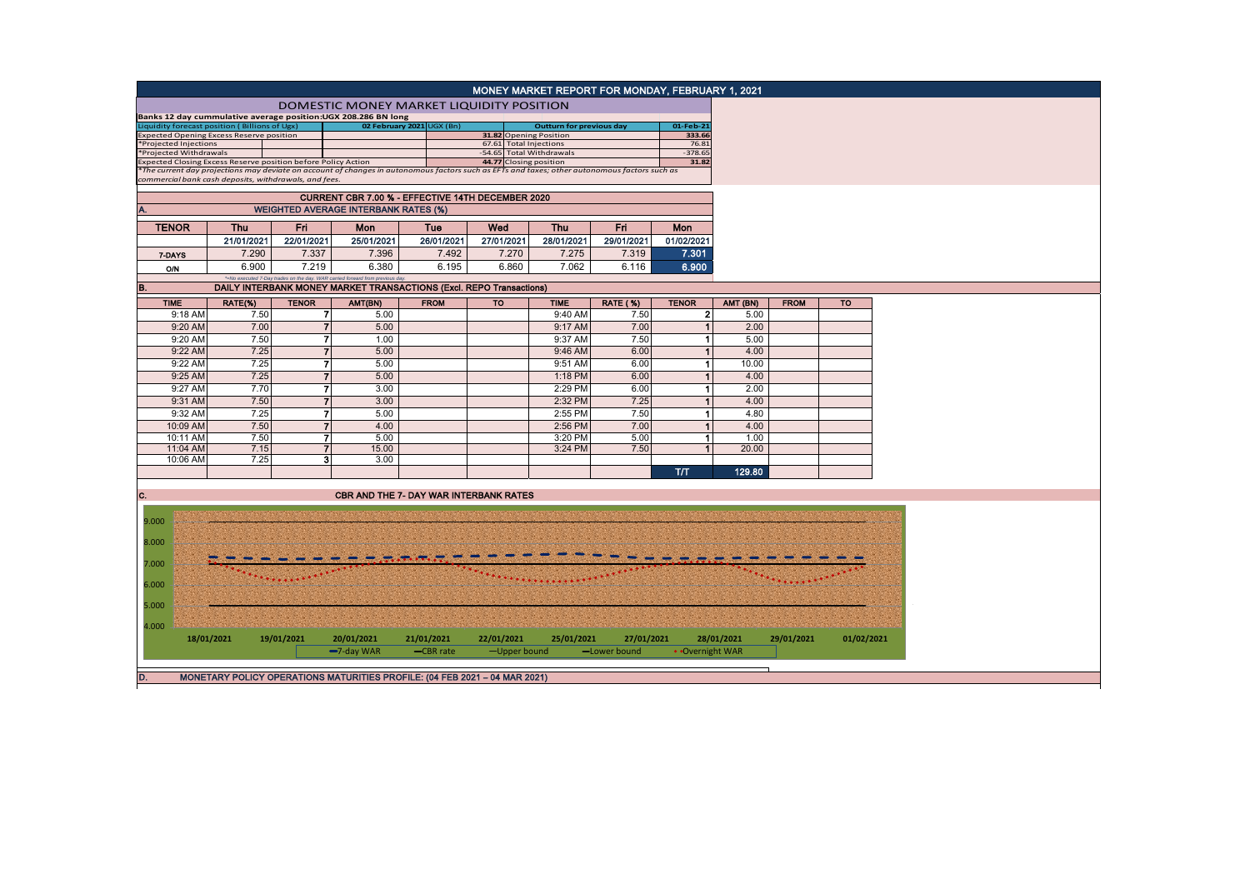|                                                                  |            |                          |                                                                                                                                               |             |                                                  |                                 | MONEY MARKET REPORT FOR MONDAY, FEBRUARY 1, 2021 |                 |            |             |            |  |
|------------------------------------------------------------------|------------|--------------------------|-----------------------------------------------------------------------------------------------------------------------------------------------|-------------|--------------------------------------------------|---------------------------------|--------------------------------------------------|-----------------|------------|-------------|------------|--|
|                                                                  |            |                          | DOMESTIC MONEY MARKET LIQUIDITY POSITION                                                                                                      |             |                                                  |                                 |                                                  |                 |            |             |            |  |
|                                                                  |            |                          | Banks 12 day cummulative average position: UGX 208.286 BN long                                                                                |             |                                                  |                                 |                                                  |                 |            |             |            |  |
| iquidity forecast position (Billions of Ugx)                     |            |                          | 02 February 2021 UGX (Bn)                                                                                                                     |             |                                                  | <b>Outturn for previous day</b> |                                                  | 01-Feb-21       |            |             |            |  |
| xpected Opening Excess Reserve position<br>*Projected Injections |            |                          |                                                                                                                                               |             | 31.82 Opening Position<br>67.61 Total Injections |                                 |                                                  | 333.66<br>76.81 |            |             |            |  |
| *Projected Withdrawals                                           |            |                          |                                                                                                                                               |             | -54.65 Total Withdrawals                         |                                 |                                                  | $-378.65$       |            |             |            |  |
| Expected Closing Excess Reserve position before Policy Action    |            |                          |                                                                                                                                               |             | 44.77 Closing position                           |                                 |                                                  | 31.82           |            |             |            |  |
|                                                                  |            |                          | *The current day projections may deviate on account of changes in autonomous factors such as EFTs and taxes; other autonomous factors such as |             |                                                  |                                 |                                                  |                 |            |             |            |  |
| commercial bank cash deposits, withdrawals, and fees.            |            |                          |                                                                                                                                               |             |                                                  |                                 |                                                  |                 |            |             |            |  |
|                                                                  |            |                          | CURRENT CBR 7.00 % - EFFECTIVE 14TH DECEMBER 2020                                                                                             |             |                                                  |                                 |                                                  |                 |            |             |            |  |
| <b>WEIGHTED AVERAGE INTERBANK RATES (%)</b>                      |            |                          |                                                                                                                                               |             |                                                  |                                 |                                                  |                 |            |             |            |  |
| <b>TENOR</b>                                                     | <b>Thu</b> | Fri                      | Mon                                                                                                                                           | Tue         | Wed                                              | <b>Thu</b>                      | Fri                                              | Mon             |            |             |            |  |
|                                                                  | 21/01/2021 | 22/01/2021               | 25/01/2021                                                                                                                                    | 26/01/2021  | 27/01/2021                                       | 28/01/2021                      | 29/01/2021                                       | 01/02/2021      |            |             |            |  |
| 7-DAYS                                                           | 7.290      | 7.337                    | 7.396                                                                                                                                         | 7.492       | 7.270                                            | 7.275                           | 7.319                                            | 7.301           |            |             |            |  |
|                                                                  | 6.900      | 7.219                    | 6.380                                                                                                                                         | 6.195       | 6.860                                            | 7.062                           | 6.116                                            | 6.900           |            |             |            |  |
| <b>O/N</b>                                                       |            |                          | *=No executed 7-Day trades on the day. WAR carried forward from previous day                                                                  |             |                                                  |                                 |                                                  |                 |            |             |            |  |
| В.                                                               |            |                          | DAILY INTERBANK MONEY MARKET TRANSACTIONS (Excl. REPO Transactions)                                                                           |             |                                                  |                                 |                                                  |                 |            |             |            |  |
| <b>TIME</b>                                                      | RATE(%)    | <b>TENOR</b>             | AMT(BN)                                                                                                                                       | <b>FROM</b> | <b>TO</b>                                        | <b>TIME</b>                     | <b>RATE (%)</b>                                  | <b>TENOR</b>    | AMT (BN)   | <b>FROM</b> | <b>TO</b>  |  |
| 9:18 AM                                                          | 7.50       | 71                       | 5.00                                                                                                                                          |             |                                                  | 9:40 AM                         | 7.50                                             | $\mathbf{2}$    | 5.00       |             |            |  |
| 9:20 AM                                                          | 7.00       | $\overline{7}$           | 5.00                                                                                                                                          |             |                                                  | 9:17 AM                         | 7.00                                             | $\mathbf{1}$    | 2.00       |             |            |  |
| 9:20 AM                                                          | 7.50       | $\overline{7}$           | 1.00                                                                                                                                          |             |                                                  | 9:37 AM                         | 7.50                                             | $\mathbf{1}$    | 5.00       |             |            |  |
| 9:22 AM                                                          | 7.25       | $\overline{7}$           | 5.00                                                                                                                                          |             |                                                  | 9:46 AM                         | 6.00                                             | $\mathbf{1}$    | 4.00       |             |            |  |
| 9:22 AM                                                          | 7.25       | 7                        | 5.00                                                                                                                                          |             |                                                  | 9:51 AM                         | 6.00                                             | $\mathbf{1}$    | 10.00      |             |            |  |
| 9:25 AM                                                          | 7.25       | $\overline{\phantom{a}}$ | 5.00                                                                                                                                          |             |                                                  | 1:18 PM                         | 6.00                                             | $\mathbf{1}$    | 4.00       |             |            |  |
| 9:27 AM                                                          | 7.70       | 7                        | 3.00                                                                                                                                          |             |                                                  | 2:29 PM                         | 6.00                                             | 1               | 2.00       |             |            |  |
|                                                                  |            | $\overline{7}$           | 3.00                                                                                                                                          |             |                                                  | 2:32 PM                         |                                                  | $\mathbf{1}$    |            |             |            |  |
| 9:31 AM                                                          | 7.50       |                          |                                                                                                                                               |             |                                                  |                                 | 7.25                                             |                 | 4.00       |             |            |  |
| 9:32 AM                                                          | 7.25       | $\overline{7}$           | 5.00                                                                                                                                          |             |                                                  | 2:55 PM                         | 7.50                                             | 1               | 4.80       |             |            |  |
| 10:09 AM                                                         | 7.50       | $\overline{7}$           | 4.00                                                                                                                                          |             |                                                  | 2:56 PM                         | 7.00                                             | $\mathbf{1}$    | 4.00       |             |            |  |
| 10:11 AM                                                         | 7.50       | 71                       | 5.00                                                                                                                                          |             |                                                  | 3:20 PM                         | 5.00                                             | 1               | 1.00       |             |            |  |
| 11:04 AM                                                         | 7.15       | 7                        | 15.00                                                                                                                                         |             |                                                  | 3:24 PM                         | 7.50                                             | $\mathbf{1}$    | 20.00      |             |            |  |
| 10:06 AM                                                         | 7.25       | 3                        | 3.00                                                                                                                                          |             |                                                  |                                 |                                                  |                 |            |             |            |  |
|                                                                  |            |                          |                                                                                                                                               |             |                                                  |                                 |                                                  | <b>T/T</b>      | 129.80     |             |            |  |
| C.                                                               |            |                          | <b>CBR AND THE 7- DAY WAR INTERBANK RATES</b>                                                                                                 |             |                                                  |                                 |                                                  |                 |            |             |            |  |
|                                                                  |            |                          |                                                                                                                                               |             |                                                  |                                 |                                                  |                 |            |             |            |  |
| 9.000                                                            |            |                          |                                                                                                                                               |             |                                                  |                                 |                                                  |                 |            |             |            |  |
|                                                                  |            |                          |                                                                                                                                               |             |                                                  |                                 |                                                  |                 |            |             |            |  |
| 8.000                                                            |            |                          |                                                                                                                                               |             |                                                  |                                 |                                                  |                 |            |             |            |  |
| 7.000                                                            |            |                          |                                                                                                                                               |             |                                                  |                                 |                                                  |                 |            |             |            |  |
|                                                                  |            |                          |                                                                                                                                               |             |                                                  |                                 |                                                  |                 |            |             |            |  |
| 6.000                                                            |            |                          |                                                                                                                                               |             |                                                  |                                 |                                                  |                 |            |             |            |  |
| 5.000                                                            |            |                          |                                                                                                                                               |             |                                                  |                                 |                                                  |                 |            |             |            |  |
|                                                                  |            |                          |                                                                                                                                               |             |                                                  |                                 |                                                  |                 |            |             |            |  |
| 4.000                                                            | 18/01/2021 | 19/01/2021               | 20/01/2021                                                                                                                                    | 21/01/2021  | 22/01/2021                                       | 25/01/2021                      | 27/01/2021                                       |                 | 28/01/2021 | 29/01/2021  | 01/02/2021 |  |
|                                                                  |            |                          | -7-day WAR                                                                                                                                    | -CBR rate   | -Upper bound                                     |                                 | -Lower bound                                     | • Overnight WAR |            |             |            |  |
|                                                                  |            |                          |                                                                                                                                               |             |                                                  |                                 |                                                  |                 |            |             |            |  |
|                                                                  |            |                          |                                                                                                                                               |             |                                                  |                                 |                                                  |                 |            |             |            |  |
| D.                                                               |            |                          | MONETARY POLICY OPERATIONS MATURITIES PROFILE: (04 FEB 2021 - 04 MAR 2021)                                                                    |             |                                                  |                                 |                                                  |                 |            |             |            |  |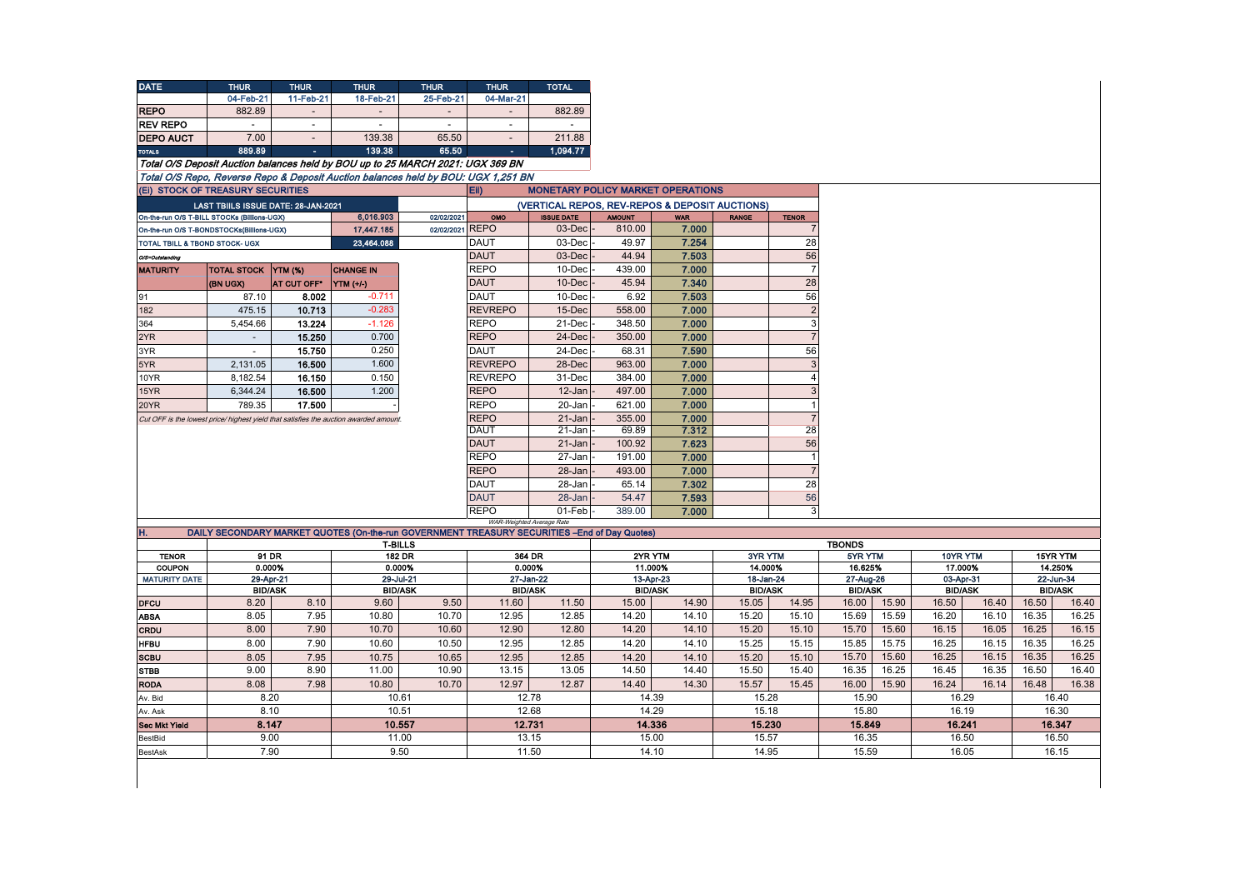| <b>DATE</b>                                                                           | <b>THUR</b>                         | <b>THUR</b>              | <b>THUR</b>                                                                                  | <b>THUR</b>     | <b>THUR</b>                 | <b>TOTAL</b>                                   |                             |                |                             |                |                             |                |                             |       |                             |                |
|---------------------------------------------------------------------------------------|-------------------------------------|--------------------------|----------------------------------------------------------------------------------------------|-----------------|-----------------------------|------------------------------------------------|-----------------------------|----------------|-----------------------------|----------------|-----------------------------|----------------|-----------------------------|-------|-----------------------------|----------------|
|                                                                                       | 04-Feb-21                           | 11-Feb-21                | 18-Feb-21                                                                                    | 25-Feb-21       | 04-Mar-21                   |                                                |                             |                |                             |                |                             |                |                             |       |                             |                |
| <b>REPO</b>                                                                           | 882.89                              | $\overline{\phantom{a}}$ | $\sim$                                                                                       | $\sim$          | $\sim$                      | 882.89                                         |                             |                |                             |                |                             |                |                             |       |                             |                |
| <b>REV REPO</b>                                                                       | $\sim$                              | $\sim$                   | $\sim$                                                                                       | $\sim$          | $\sim$                      |                                                |                             |                |                             |                |                             |                |                             |       |                             |                |
| <b>DEPO AUCT</b>                                                                      | 7.00                                |                          | 139.38                                                                                       | 65.50           |                             | 211.88                                         |                             |                |                             |                |                             |                |                             |       |                             |                |
| <b>TOTALS</b>                                                                         | 889.89                              | $\sim$                   | 139.38                                                                                       | 65.50           |                             | 1.094.77                                       |                             |                |                             |                |                             |                |                             |       |                             |                |
| Total O/S Deposit Auction balances held by BOU up to 25 MARCH 2021: UGX 369 BN        |                                     |                          |                                                                                              |                 |                             |                                                |                             |                |                             |                |                             |                |                             |       |                             |                |
|                                                                                       |                                     |                          | Total O/S Repo. Reverse Repo & Deposit Auction balances held by BOU; UGX 1.251 BN            |                 |                             |                                                |                             |                |                             |                |                             |                |                             |       |                             |                |
| (Ei) STOCK OF TREASURY SECURITIES                                                     |                                     |                          |                                                                                              |                 | EII)                        | <b>MONETARY POLICY MARKET OPERATIONS</b>       |                             |                |                             |                |                             |                |                             |       |                             |                |
|                                                                                       | LAST TBIILS ISSUE DATE: 28-JAN-2021 |                          |                                                                                              |                 |                             | (VERTICAL REPOS, REV-REPOS & DEPOSIT AUCTIONS) |                             |                |                             |                |                             |                |                             |       |                             |                |
| On-the-run O/S T-BILL STOCKs (Billions-UGX)                                           |                                     |                          | 6,016.903                                                                                    | 02/02/2021      | OMO                         | <b>ISSUE DATE</b>                              | <b>AMOUNT</b>               | <b>WAR</b>     | <b>RANGE</b>                | <b>TENOR</b>   |                             |                |                             |       |                             |                |
| On-the-run O/S T-BONDSTOCKs(Billions-UGX)                                             |                                     |                          | 17,447.185                                                                                   | 02/02/2021 REPO |                             | $03$ -Dec                                      | 810.00                      | 7.000          |                             | $\overline{7}$ |                             |                |                             |       |                             |                |
| <b>TOTAL TBILL &amp; TBOND STOCK- UGX</b>                                             |                                     |                          | 23,464.088                                                                                   |                 | <b>DAUT</b>                 | 03-Dec                                         | 49.97                       | 7.254          |                             | 28             |                             |                |                             |       |                             |                |
| O/S=Outstanding                                                                       |                                     |                          |                                                                                              |                 | <b>DAUT</b>                 | $03$ -Dec                                      | 44.94                       | 7.503          |                             | 56             |                             |                |                             |       |                             |                |
| <b>MATURITY</b>                                                                       | <b>TOTAL STOCK YTM (%)</b>          |                          | <b>CHANGE IN</b>                                                                             |                 | <b>REPO</b>                 | 10-Dec                                         | 439.00                      | 7.000          |                             | $\overline{7}$ |                             |                |                             |       |                             |                |
|                                                                                       | (BN UGX)                            | AT CUT OFF*              | <b>YTM</b> (+/-)                                                                             |                 | <b>DAUT</b>                 | 10-Dec                                         | 45.94                       | 7.340          |                             | 28             |                             |                |                             |       |                             |                |
| 91                                                                                    | 87.10                               | 8.002                    | $-0.711$                                                                                     |                 | <b>DAUT</b>                 | 10-Dec                                         | 6.92                        | 7.503          |                             | 56             |                             |                |                             |       |                             |                |
| 182                                                                                   | 475.15                              | 10.713                   | $-0.283$                                                                                     |                 | <b>REVREPO</b>              | 15-Dec                                         | 558.00                      | 7.000          |                             | $\overline{2}$ |                             |                |                             |       |                             |                |
| 364                                                                                   | 5,454.66                            | 13.224                   | $-1.126$                                                                                     |                 | <b>REPO</b>                 | 21-Dec                                         | 348.50                      | 7.000          |                             | 3              |                             |                |                             |       |                             |                |
| 2YR                                                                                   | $\overline{\phantom{a}}$            | 15.250                   | 0.700                                                                                        |                 | <b>REPO</b>                 | 24-Dec                                         | 350.00                      | 7.000          |                             | $\overline{7}$ |                             |                |                             |       |                             |                |
| 3YR                                                                                   |                                     | 15.750                   | 0.250                                                                                        |                 | <b>DAUT</b>                 | 24-Dec                                         | 68.31                       | 7.590          |                             | 56             |                             |                |                             |       |                             |                |
| 5YR                                                                                   | 2,131.05                            | 16.500                   | 1.600                                                                                        |                 | <b>REVREPO</b>              | 28-Dec                                         | 963.00                      | 7.000          |                             | 3              |                             |                |                             |       |                             |                |
| 10YR                                                                                  | 8,182.54                            | 16.150                   | 0.150                                                                                        |                 | <b>REVREPO</b>              | 31-Dec                                         | 384.00                      | 7.000          |                             | $\overline{4}$ |                             |                |                             |       |                             |                |
| 15YR                                                                                  | 6,344.24                            | 16.500                   | 1.200                                                                                        |                 | <b>REPO</b>                 | $12 - Jan$                                     | 497.00                      | 7.000          |                             | $\overline{3}$ |                             |                |                             |       |                             |                |
| 20YR                                                                                  | 789.35                              | 17.500                   |                                                                                              |                 | <b>REPO</b>                 | 20-Jan                                         | 621.00                      | 7.000          |                             | $\overline{1}$ |                             |                |                             |       |                             |                |
| Cut OFF is the lowest price/ highest yield that satisfies the auction awarded amount. |                                     |                          |                                                                                              |                 | <b>REPO</b>                 | 21-Jan                                         | 355.00                      | 7.000          |                             | $\overline{7}$ |                             |                |                             |       |                             |                |
|                                                                                       |                                     |                          |                                                                                              |                 | <b>DAUT</b>                 | 21-Jan                                         | 69.89                       | 7.312          |                             | 28             |                             |                |                             |       |                             |                |
|                                                                                       |                                     |                          |                                                                                              |                 | <b>DAUT</b>                 | 21-Jan                                         | 100.92                      | 7.623          |                             | 56             |                             |                |                             |       |                             |                |
|                                                                                       |                                     |                          |                                                                                              |                 | <b>REPO</b>                 | 27-Jan                                         | 191.00                      | 7.000          |                             | $\overline{1}$ |                             |                |                             |       |                             |                |
|                                                                                       |                                     |                          |                                                                                              |                 | <b>REPO</b>                 | 28-Jan                                         | 493.00                      | 7.000          |                             | $\overline{7}$ |                             |                |                             |       |                             |                |
|                                                                                       |                                     |                          |                                                                                              |                 | <b>DAUT</b>                 | 28-Jan                                         | 65.14                       | 7.302          |                             | 28             |                             |                |                             |       |                             |                |
|                                                                                       |                                     |                          |                                                                                              |                 | <b>DAUT</b>                 | 28-Jan                                         | 54.47                       | 7.593          |                             | 56             |                             |                |                             |       |                             |                |
|                                                                                       |                                     |                          |                                                                                              |                 | <b>REPO</b>                 | 01-Feb                                         | 389.00                      | 7.000          |                             | 3              |                             |                |                             |       |                             |                |
| н.                                                                                    |                                     |                          | DAILY SECONDARY MARKET QUOTES (On-the-run GOVERNMENT TREASURY SECURITIES -End of Day Quotes) |                 | WAR-Weighted Average Rate   |                                                |                             |                |                             |                |                             |                |                             |       |                             |                |
|                                                                                       |                                     |                          | <b>T-BILLS</b>                                                                               |                 |                             |                                                |                             |                |                             |                | <b>TBONDS</b>               |                |                             |       |                             |                |
| <b>TENOR</b>                                                                          |                                     | 91 DR                    | <b>182 DR</b>                                                                                | 364 DR          |                             |                                                | 2YR YTM                     |                | <b>3YR YTM</b>              |                | 5YR YTM                     |                | 10YR YTM                    |       | 15YR YTM                    |                |
| COUPON                                                                                | 0.000%                              |                          | 0.000%                                                                                       |                 | 0.000%                      |                                                | 11.000%                     |                | 14.000%                     |                | 16.625%                     |                | 17.000%                     |       | 14.250%                     |                |
| <b>MATURITY DATE</b>                                                                  | 29-Apr-21                           |                          | 29-Jul-21<br><b>BID/ASK</b><br><b>BID/ASK</b>                                                |                 | 27-Jan-22<br><b>BID/ASK</b> |                                                | 13-Apr-23<br><b>BID/ASK</b> |                | 18-Jan-24<br><b>BID/ASK</b> |                | 27-Aug-26<br><b>BID/ASK</b> |                | 03-Apr-31<br><b>BID/ASK</b> |       | 22-Jun-34<br><b>BID/ASK</b> |                |
| <b>DFCU</b>                                                                           | 8.20                                | 8.10                     | 9.60                                                                                         | 9.50            | 11.60                       | 11.50                                          | 15.00                       | 14.90          | 15.05                       | 14.95          | 16.00                       | 15.90          | 16.50                       | 16.40 | 16.50                       | 16.40          |
|                                                                                       | 8.05                                | 7.95                     | 10.80                                                                                        | 10.70           | 12.95                       | 12.85                                          | 14.20                       | 14.10          | 15.20                       | 15.10          | 15.69                       | 15.59          | 16.20                       | 16.10 | 16.35                       | 16.25          |
| <b>ABSA</b>                                                                           | 8.00                                | 7.90                     | 10.70                                                                                        | 10.60           | 12.90                       | 12.80                                          | 14.20                       | 14.10          | 15.20                       | 15.10          | 15.70                       | 15.60          | 16.15                       | 16.05 | 16.25                       | 16.15          |
| CRDU<br><b>HFBU</b>                                                                   | 8.00                                | 7.90                     | 10.60                                                                                        | 10.50           | 12.95                       | 12.85                                          | 14.20                       | 14.10          | 15.25                       | 15.15          | 15.85                       | 15.75          | 16.25                       | 16.15 | 16.35                       | 16.25          |
|                                                                                       |                                     |                          |                                                                                              |                 |                             |                                                |                             |                |                             |                | 15.70                       | 15.60          | 16.25                       | 16.15 | 16.35                       | 16.25          |
| <b>SCBU</b>                                                                           | 8.05                                | 7.95                     | 10.75                                                                                        | 10.65           | 12.95                       | 12.85                                          | 14.20                       | 14.10          | 15.20                       | 15.10          |                             |                |                             |       |                             |                |
| <b>STBB</b>                                                                           | 9.00                                | 8.90<br>7.98             | 11.00<br>10.80                                                                               | 10.90           | 13.15                       | 13.05<br>12.87                                 | 14.50                       | 14.40<br>14.30 | 15.50                       | 15.40          | 16.35                       | 16.25<br>15.90 | 16.45                       | 16.35 | 16.50                       | 16.40<br>16.38 |
| <b>RODA</b>                                                                           | 8.08                                |                          |                                                                                              | 10.70           | 12.97                       |                                                | 14.40                       |                | 15.57                       | 15.45          | 16.00                       |                | 16.24                       | 16.14 | 16.48                       |                |
| 8.20<br>Av. Bid                                                                       |                                     | 10.61                    |                                                                                              | 12.78           |                             | 14.39                                          |                             | 15.28          |                             | 15.90          |                             | 16.29          |                             | 16.40 |                             |                |
| 8.10<br>Av. Ask                                                                       |                                     | 10.51                    |                                                                                              | 12.68           |                             | 14.29                                          |                             | 15.18          |                             | 15.80          |                             | 16.19          |                             | 16.30 |                             |                |
| <b>Sec Mkt Yield</b>                                                                  | 8.147                               |                          | 10.557<br>11.00                                                                              |                 | 12.731<br>13.15             |                                                | 14.336<br>15.00             |                | 15.230                      |                | 15.849                      |                | 16.241                      |       | 16.347                      |                |
| BestBid                                                                               | 9.00<br>7.90                        |                          |                                                                                              |                 |                             |                                                |                             |                | 15.57                       |                | 16.35                       |                | 16.50                       |       | 16.50                       |                |
| <b>BestAsk</b>                                                                        |                                     |                          | 9.50                                                                                         |                 | 11.50                       |                                                |                             | 14.10<br>14.95 |                             |                | 15.59<br>16.05              |                |                             |       | 16.15                       |                |